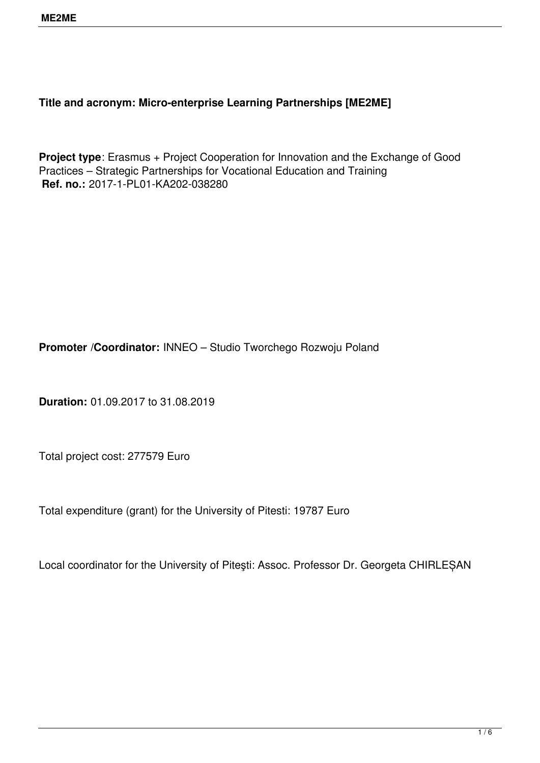## **Title and acronym: Micro-enterprise Learning Partnerships [ME2ME]**

**Project type**: Erasmus + Project Cooperation for Innovation and the Exchange of Good Practices – Strategic Partnerships for Vocational Education and Training **Ref. no.:** 2017-1-PL01-KA202-038280

**Promoter /Coordinator:** INNEO – Studio Tworchego Rozwoju Poland

**Duration:** 01.09.2017 to 31.08.2019

Total project cost: 277579 Euro

Total expenditure (grant) for the University of Pitesti: 19787 Euro

Local coordinator for the University of Piteşti: Assoc. Professor Dr. Georgeta CHIRLEȘAN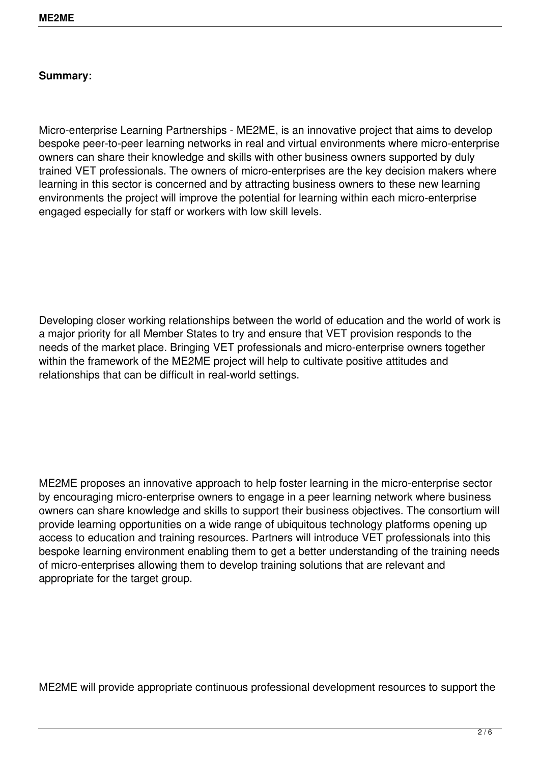## **Summary:**

Micro-enterprise Learning Partnerships - ME2ME, is an innovative project that aims to develop bespoke peer-to-peer learning networks in real and virtual environments where micro-enterprise owners can share their knowledge and skills with other business owners supported by duly trained VET professionals. The owners of micro-enterprises are the key decision makers where learning in this sector is concerned and by attracting business owners to these new learning environments the project will improve the potential for learning within each micro-enterprise engaged especially for staff or workers with low skill levels.

Developing closer working relationships between the world of education and the world of work is a major priority for all Member States to try and ensure that VET provision responds to the needs of the market place. Bringing VET professionals and micro-enterprise owners together within the framework of the ME2ME project will help to cultivate positive attitudes and relationships that can be difficult in real-world settings.

ME2ME proposes an innovative approach to help foster learning in the micro-enterprise sector by encouraging micro-enterprise owners to engage in a peer learning network where business owners can share knowledge and skills to support their business objectives. The consortium will provide learning opportunities on a wide range of ubiquitous technology platforms opening up access to education and training resources. Partners will introduce VET professionals into this bespoke learning environment enabling them to get a better understanding of the training needs of micro-enterprises allowing them to develop training solutions that are relevant and appropriate for the target group.

ME2ME will provide appropriate continuous professional development resources to support the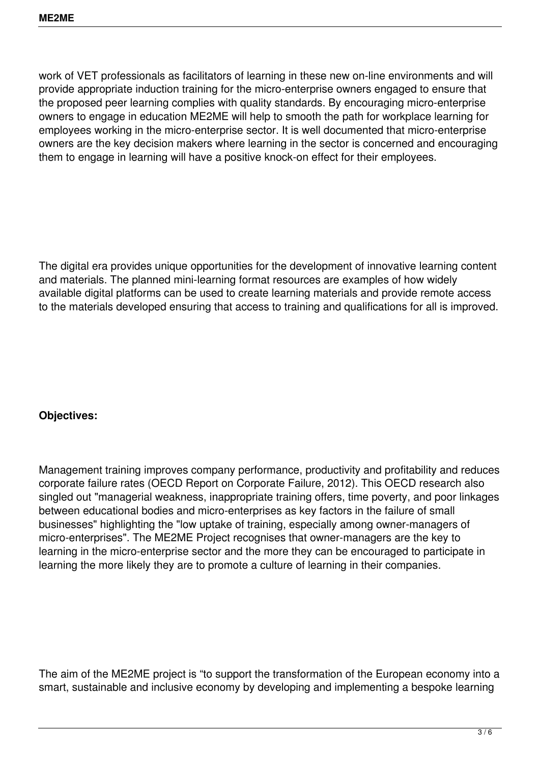work of VET professionals as facilitators of learning in these new on-line environments and will provide appropriate induction training for the micro-enterprise owners engaged to ensure that the proposed peer learning complies with quality standards. By encouraging micro-enterprise owners to engage in education ME2ME will help to smooth the path for workplace learning for employees working in the micro-enterprise sector. It is well documented that micro-enterprise owners are the key decision makers where learning in the sector is concerned and encouraging them to engage in learning will have a positive knock-on effect for their employees.

The digital era provides unique opportunities for the development of innovative learning content and materials. The planned mini-learning format resources are examples of how widely available digital platforms can be used to create learning materials and provide remote access to the materials developed ensuring that access to training and qualifications for all is improved.

## **Objectives:**

Management training improves company performance, productivity and profitability and reduces corporate failure rates (OECD Report on Corporate Failure, 2012). This OECD research also singled out "managerial weakness, inappropriate training offers, time poverty, and poor linkages between educational bodies and micro-enterprises as key factors in the failure of small businesses" highlighting the "low uptake of training, especially among owner-managers of micro-enterprises". The ME2ME Project recognises that owner-managers are the key to learning in the micro-enterprise sector and the more they can be encouraged to participate in learning the more likely they are to promote a culture of learning in their companies.

The aim of the ME2ME project is "to support the transformation of the European economy into a smart, sustainable and inclusive economy by developing and implementing a bespoke learning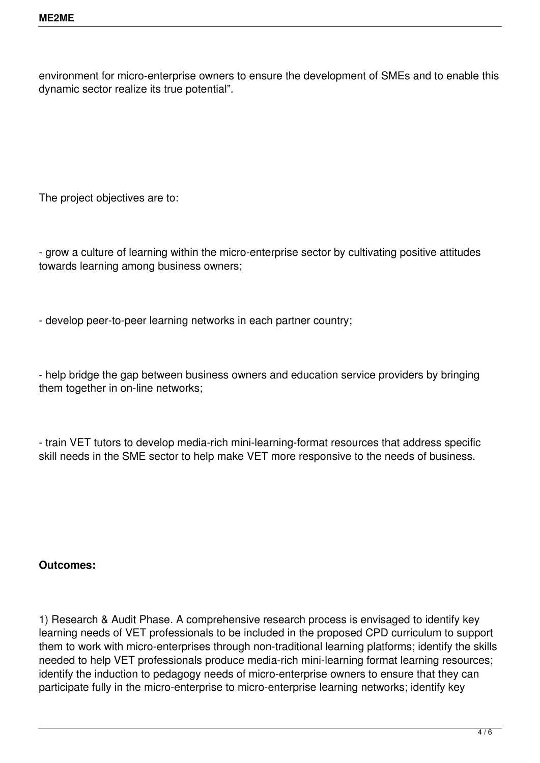environment for micro-enterprise owners to ensure the development of SMEs and to enable this dynamic sector realize its true potential".

The project objectives are to:

- grow a culture of learning within the micro-enterprise sector by cultivating positive attitudes towards learning among business owners;

- develop peer-to-peer learning networks in each partner country;

- help bridge the gap between business owners and education service providers by bringing them together in on-line networks;

- train VET tutors to develop media-rich mini-learning-format resources that address specific skill needs in the SME sector to help make VET more responsive to the needs of business.

## **Outcomes:**

1) Research & Audit Phase. A comprehensive research process is envisaged to identify key learning needs of VET professionals to be included in the proposed CPD curriculum to support them to work with micro-enterprises through non-traditional learning platforms; identify the skills needed to help VET professionals produce media-rich mini-learning format learning resources; identify the induction to pedagogy needs of micro-enterprise owners to ensure that they can participate fully in the micro-enterprise to micro-enterprise learning networks; identify key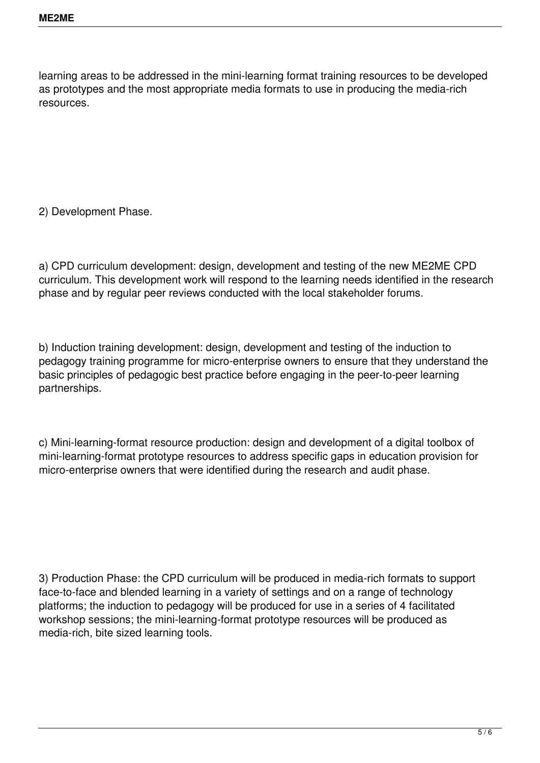learning areas to be addressed in the mini-learning format training resources to be developed as prototypes and the most appropriate media formats to use in producing the media-rich resources.

2) Development Phase.

a) CPD curriculum development: design, development and testing of the new ME2ME CPD curriculum. This development work will respond to the learning needs identified in the research phase and by regular peer reviews conducted with the local stakeholder forums.

b) Induction training development: design, development and testing of the induction to pedagogy training programme for micro-enterprise owners to ensure that they understand the basic principles of pedagogic best practice before engaging in the peer-to-peer learning partnerships.

c) Mini-learning-format resource production: design and development of a digital toolbox of mini-learning-format prototype resources to address specific gaps in education provision for micro-enterprise owners that were identified during the research and audit phase.

3) Production Phase: the CPD curriculum will be produced in media-rich formats to support face-to-face and blended learning in a variety of settings and on a range of technology platforms; the induction to pedagogy will be produced for use in a series of 4 facilitated workshop sessions; the mini-learning-format prototype resources will be produced as media-rich, bite sized learning tools.